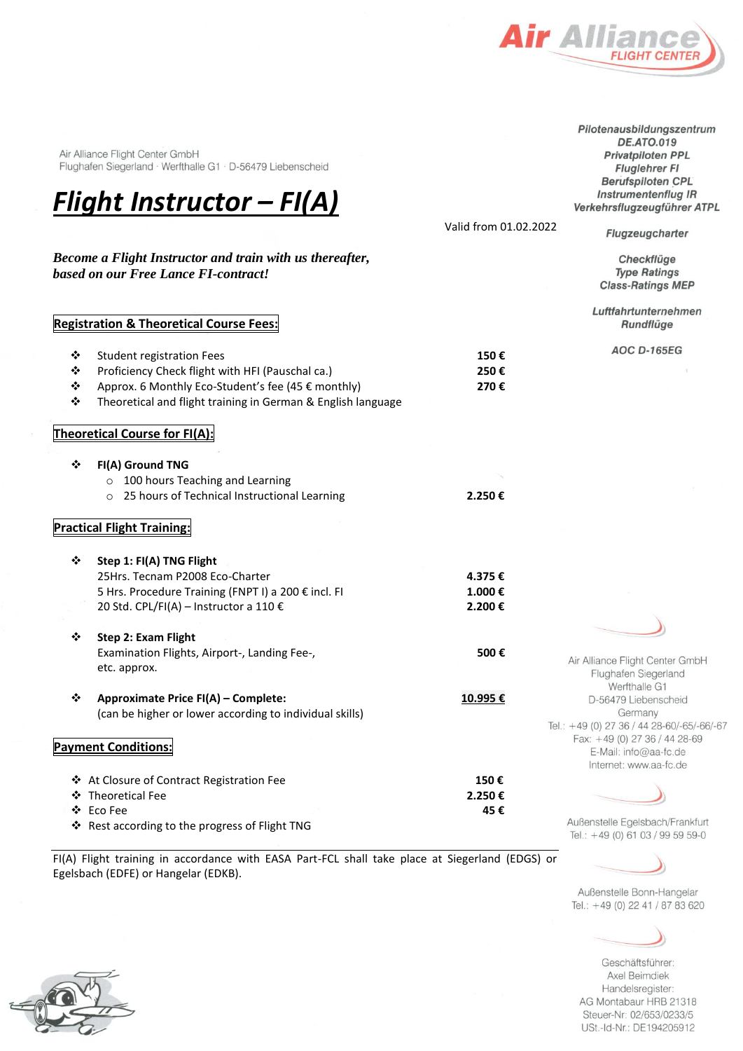

Air Alliance Flight Center GmbH Flughafen Siegerland · Werfthalle G1 · D-56479 Liebenscheid



*Become a Flight Instructor and train with us thereafter,*

Valid from 01.02.2022

**DE.ATO.019** Privatpiloten PPL **Fluglehrer FI Berufspiloten CPL Instrumentenflug IR** Verkehrsflugzeugführer ATPL

Pilotenausbildungszentrum

Flugzeugcharter

Checkflüge **Type Ratings Class-Ratings MEP** 

Luftfahrtunternehmen Rundflüge

**AOC D-165EG** 

# **Registration & Theoretical Course Fees:**

*based on our Free Lance FI-contract!*

| - 424 | Student registration Fees                        | 150€ |
|-------|--------------------------------------------------|------|
| - 20  | Proficiency Check flight with HFI (Pauschal ca.) | 250€ |

- ❖ Approx. 6 Monthly Eco-Student's fee (45 € monthly) **270 €**
- ❖ Theoretical and flight training in German & English language

## **Theoretical Course for FI(A):**

|  | $\div$ FI(A) Ground TNG                              |        |
|--|------------------------------------------------------|--------|
|  | $\circ$ 100 hours Teaching and Learning              |        |
|  | $\circ$ 25 hours of Technical Instructional Learning | 2.250€ |

### **Practical Flight Training:**

| ❖  | Step 1: FI(A) TNG Flight                            |        |  |
|----|-----------------------------------------------------|--------|--|
|    | 25Hrs. Tecnam P2008 Eco-Charter                     | 4.375€ |  |
|    | 5 Hrs. Procedure Training (FNPT I) a 200 € incl. FI | 1.000€ |  |
|    | 20 Std. CPL/FI(A) – Instructor a 110 €              | 2.200€ |  |
| ∙⊱ | Step 2: Exam Flight                                 |        |  |
|    | Examination Flights, Airport-, Landing Fee-,        | 500€   |  |

❖ **Approximate Price FI(A) – Complete: 10.995 €** (can be higher or lower according to individual skills)

#### **Payment Conditions:**

etc. approx.

| ❖ At Closure of Contract Registration Fee      | 150€   |
|------------------------------------------------|--------|
| ❖ Theoretical Fee                              | 2.250€ |
| ❖ Eco Fee                                      | 45 €   |
| ❖ Rest according to the progress of Flight TNG |        |

FI(A) Flight training in accordance with EASA Part-FCL shall take place at Siegerland (EDGS) or Egelsbach (EDFE) or Hangelar (EDKB).



Außenstelle Egelsbach/Frankfurt Tel.: +49 (0) 61 03 / 99 59 59-0



Außenstelle Bonn-Hangelar Tel.: +49 (0) 22 41 / 87 83 620

Geschäftsführer: Axel Beimdiek Handelsregister: AG Montabaur HRB 21318 Steuer-Nr: 02/653/0233/5 USt.-Id-Nr.: DE194205912